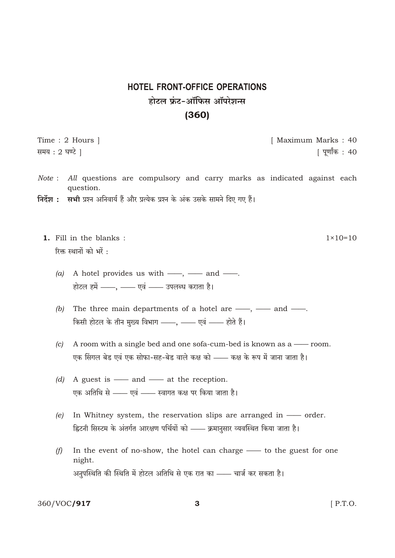## **HOTEL FRONT-OFFICE OPERATIONS** होटल फ्रंट-ऑफिस ऑपरेशन्स  $(360)$

Time: 2 Hours | समय : 2 घण्टे ।

[ Maximum Marks: 40 | पूर्णांक : 40

- All questions are compulsory and carry marks as indicated against each Note: question.
- निर्देश : सभी प्रश्न अनिवार्य हैं और प्रत्येक प्रश्न के अंक उसके सामने दिए गए हैं।
	- 1. Fill in the blanks:  $1 \times 10 = 10$ रिक्त स्थानों को भरें :
		- A hotel provides us with —, and —.  $(a)$ होटल हमें ——, —— एवं —— उपलब्ध कराता है।
		- The three main departments of a hotel are  $\frac{1}{1}$ ,  $\frac{1}{1}$  and  $\frac{1}{1}$ .  $(b)$ किसी होटल के तीन मुख्य विभाग ——, —— एवं —— होते हैं।
		- A room with a single bed and one sofa-cum-bed is known as a room.  $(c)$ एक सिंगल बेड एवं एक सोफा-सह-बेड वाले कक्ष को —— कक्ष के रूप में जाना जाता है।
		- (d) A guest is  $\frac{1}{\sqrt{1 x^2}}$  and  $\frac{1}{\sqrt{1 x^2}}$  at the reception. एक अतिथि से —— एवं —— स्वागत कक्ष पर किया जाता है।
		- In Whitney system, the reservation slips are arranged in order.  $(e)$ ह्विटनी सिस्टम के अंतर्गत आरक्षण पर्चियों को —— क्रमानुसार व्यवस्थित किया जाता है।
		- In the event of no-show, the hotel can charge to the guest for one  $(f)$ night. अनुपस्थिति की स्थिति में होटल अतिथि से एक रात का —— चार्ज कर सकता है।

360/VOC/917

 $[$  P.T.O.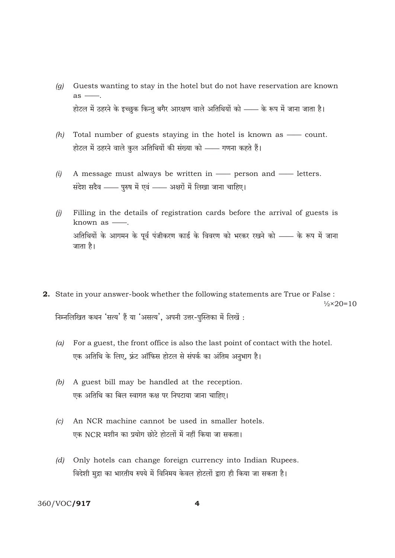- Guests wanting to stay in the hotel but do not have reservation are known  $(q)$  $as -$ होटल में ठहरने के इच्छुक किन्तु बगैर आरक्षण वाले अतिथियों को —— के रूप में जाना जाता है।
- $(h)$  Total number of guests staying in the hotel is known as count. होटल में ठहरने वाले कुल अतिथियों की संख्या को —— गणना कहते हैं।
- $(i)$ A message must always be written in - person and - letters. संदेश सदैव - पुरुष में एवं - अक्षरों में लिखा जाना चाहिए।
- $(i)$ Filling in the details of registration cards before the arrival of guests is known as  $\frac{1}{\sqrt{2}}$ . अतिथियों के आगमन के पूर्व पंजीकरण कार्ड के विवरण को भरकर रखने को —— के रूप में जाना जाता है।
- 2. State in your answer-book whether the following statements are True or False :  $\frac{1}{2} \times 20 = 10$ निम्नलिखित कथन 'सत्य' हैं या 'असत्य', अपनी उत्तर-पुस्तिका में लिखें :
	- $(a)$ For a guest, the front office is also the last point of contact with the hotel. एक अतिथि के लिए, फ्रंट ऑफिस होटल से संपर्क का अंतिम अनुभाग है।
	- (b) A guest bill may be handled at the reception. एक अतिथि का बिल स्वागत कक्ष पर निपटाया जाना चाहिए।
	- An NCR machine cannot be used in smaller hotels.  $\left( c\right)$ एक NCR मशीन का प्रयोग छोटे होटलों में नहीं किया जा सकता।
	- (d) Only hotels can change foreign currency into Indian Rupees. विदेशी मुद्रा का भारतीय रुपये में विनिमय केवल होटलों द्वारा ही किया जा सकता है।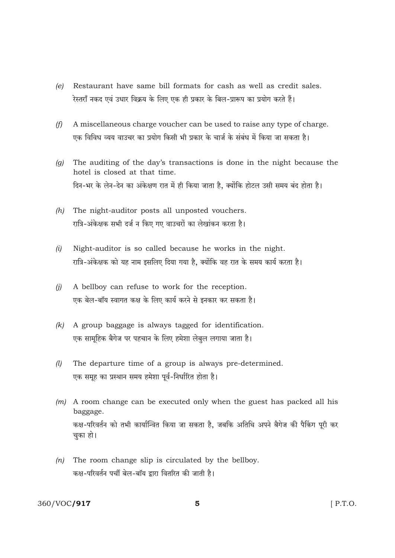- Restaurant have same bill formats for cash as well as credit sales.  $(e)$ रेस्तराँ नकद एवं उधार विक्रय के लिए एक ही प्रकार के बिल-प्रारूप का प्रयोग करते हैं।
- $(f)$ A miscellaneous charge voucher can be used to raise any type of charge. एक विविध व्यय वाउचर का प्रयोग किसी भी प्रकार के चार्ज के संबंध में किया जा सकता है।
- The auditing of the day's transactions is done in the night because the  $(q)$ hotel is closed at that time. दिन-भर के लेन-देन का अंकेक्षण रात में ही किया जाता है. क्योंकि होटल उसी समय बंद होता है।
- $(h)$  The night-auditor posts all unposted vouchers. रात्रि-अंकेक्षक सभी दर्ज न किए गए वाउचरों का लेखांकन करता है।
- $(i)$ Night-auditor is so called because he works in the night. रात्रि-अंकेक्षक को यह नाम इसलिए दिया गया है, क्योंकि वह रात के समय कार्य करता है।
- $(i)$ A bellboy can refuse to work for the reception. एक बेल-बॉय स्वागत कक्ष के लिए कार्य करने से इनकार कर सकता है।
- A group baggage is always tagged for identification.  $(k)$ एक सामूहिक बैगेज पर पहचान के लिए हमेशा लेबुल लगाया जाता है।
- The departure time of a group is always pre-determined.  $(l)$ एक समृह का प्रस्थान समय हमेशा पूर्व-निर्धारित होता है।
- $(m)$  A room change can be executed only when the guest has packed all his baggage. कक्ष-परिवर्तन को तभी कार्यान्वित किया जा सकता है. जबकि अतिथि अपने बैगेज की पैकिंग परी कर चुका हो।
- $(n)$  The room change slip is circulated by the bellboy. कक्ष-परिवर्तन पर्ची बेल-बॉय द्वारा वितरित की जाती है।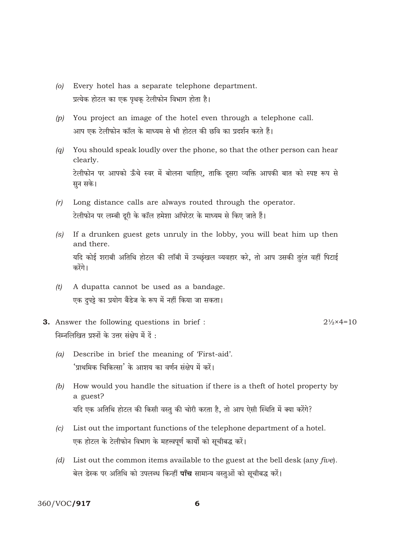- Every hotel has a separate telephone department.  $\omega$ प्रत्येक होटल का एक पृथकु टेलीफोन विभाग होता है।
- $(p)$  You project an image of the hotel even through a telephone call. आप एक टेलीफोन कॉल के माध्यम से भी होटल की छवि का प्रदर्शन करते हैं।
- You should speak loudly over the phone, so that the other person can hear  $(a)$ clearly. टेलीफोन पर आपको ऊँचे स्वर में बोलना चाहिए, ताकि दुसरा व्यक्ति आपकी बात को स्पष्ट रूप से सन सके।
- Long distance calls are always routed through the operator.  $(r)$ टेलीफोन पर लम्बी दरी के कॉल हमेशा ऑपरेटर के माध्यम से किए जाते हैं।
- (s) If a drunken guest gets unruly in the lobby, you will beat him up then and there. यदि कोई शराबी अतिथि होटल की लॉबी में उच्छुंखल व्यवहार करे, तो आप उसकी तुरंत वहीं पिटाई करेंगे।
- A dupatta cannot be used as a bandage.  $(t)$ एक दुपट्टे का प्रयोग बैंडेज के रूप में नहीं किया जा सकता।
- **3.** Answer the following questions in brief:  $2\frac{1}{2} \times 4 = 10$ निम्नलिखित प्रश्नों के उत्तर संक्षेप में दें :
	- Describe in brief the meaning of 'First-aid'.  $(a)$ 'प्राथमिक चिकित्सा' के आशय का वर्णन संक्षेप में करें।
	- (b) How would you handle the situation if there is a theft of hotel property by a guest? यदि एक अतिथि होटल की किसी वस्तु की चोरी करता है, तो आप ऐसी स्थिति में क्या करेंगे?
	- List out the important functions of the telephone department of a hotel.  $\left( c\right)$ एक होटल के टेलीफोन विभाग के महत्त्वपूर्ण कार्यों को सूचीबद्ध करें।
	- (d) List out the common items available to the guest at the bell desk (any five). बेल डेस्क पर अतिथि को उपलब्ध किन्हीं **पाँच** सामान्य वस्तुओं को सूचीबद्ध करें।

360/VOC/917